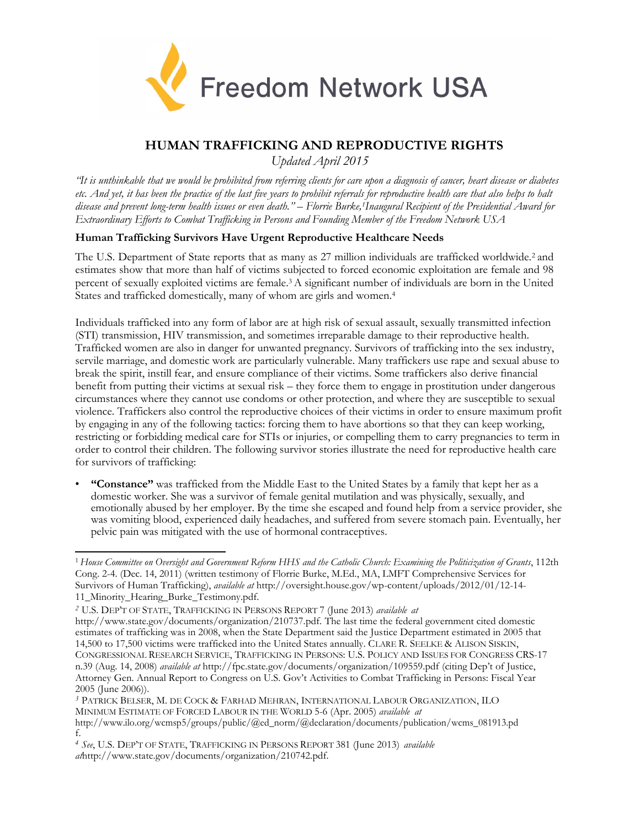

# **HUMAN TRAFFICKING AND REPRODUCTIVE RIGHTS**

*Updated April 2015*

*"It is unthinkable that we would be prohibited from referring clients for care upon a diagnosis of cancer, heart disease or diabetes etc. And yet, it has been the practice of the last five years to prohibit referrals for reproductive health care that also helps to halt disease and prevent long-term health issues or even death." – Florrie Burke,1Inaugural Recipient of the Presidential Award for Extraordinary Efforts to Combat Trafficking in Persons and Founding Member of the Freedom Network USA*

## **Human Trafficking Survivors Have Urgent Reproductive Healthcare Needs**

The U.S. Department of State reports that as many as 27 million individuals are trafficked worldwide.2 and estimates show that more than half of victims subjected to forced economic exploitation are female and 98 percent of sexually exploited victims are female.3 A significant number of individuals are born in the United States and trafficked domestically, many of whom are girls and women.<sup>4</sup>

Individuals trafficked into any form of labor are at high risk of sexual assault, sexually transmitted infection (STI) transmission, HIV transmission, and sometimes irreparable damage to their reproductive health. Trafficked women are also in danger for unwanted pregnancy. Survivors of trafficking into the sex industry, servile marriage, and domestic work are particularly vulnerable. Many traffickers use rape and sexual abuse to break the spirit, instill fear, and ensure compliance of their victims. Some traffickers also derive financial benefit from putting their victims at sexual risk – they force them to engage in prostitution under dangerous circumstances where they cannot use condoms or other protection, and where they are susceptible to sexual violence. Traffickers also control the reproductive choices of their victims in order to ensure maximum profit by engaging in any of the following tactics: forcing them to have abortions so that they can keep working, restricting or forbidding medical care for STIs or injuries, or compelling them to carry pregnancies to term in order to control their children. The following survivor stories illustrate the need for reproductive health care for survivors of trafficking:

• **"Constance"** was trafficked from the Middle East to the United States by a family that kept her as a domestic worker. She was a survivor of female genital mutilation and was physically, sexually, and emotionally abused by her employer. By the time she escaped and found help from a service provider, she was vomiting blood, experienced daily headaches, and suffered from severe stomach pain. Eventually, her pelvic pain was mitigated with the use of hormonal contraceptives.

*<sup>2</sup>* U.S. DEP'T OF STATE, TRAFFICKING IN PERSONS REPORT 7 (June 2013) *available at*

*<sup>3</sup>* PATRICK BELSER, M. DE COCK & FARHAD MEHRAN, INTERNATIONAL LABOUR ORGANIZATION, ILO MINIMUM ESTIMATE OF FORCED LABOUR IN THE WORLD 5-6 (Apr. 2005) *available at*

*<sup>4</sup> See*, U.S. DEP'T OF STATE, TRAFFICKING IN PERSONS REPORT 381 (June 2013) *available at*[http://www.state.gov/documents/organization/210742.pdf.](http://www.state.gov/documents/organization/210742.pdf)

<sup>1</sup>*House Committee on Oversight and Government Reform HHS and the Catholic Church: Examining the Politicization of Grants*, 112th Cong. 2-4. (Dec. 14, 2011) (written testimony of Florrie Burke, M.Ed., MA, LMFT Comprehensive Services for Survivors of Human Trafficking), *available at* <http://oversight.house.gov/wp-content/uploads/2012/01/12-14-> 11\_Minority\_Hearing\_Burke\_Testimony.pdf.

[http://www.state.gov/documents/organization/210737.pdf. T](http://www.state.gov/documents/organization/210737.pdf)he last time the federal government cited domestic estimates of trafficking was in 2008, when the State Department said the Justice Department estimated in 2005 that 14,500 to 17,500 victims were trafficked into the United States annually. CLARE R. SEELKE & ALISON SISKIN, CONGRESSIONAL RESEARCH SERVICE, TRAFFICKING IN PERSONS: U.S. POLICY AND ISSUES FOR CONGRESS CRS-17 n.39 (Aug. 14, 2008) *available at* <http://fpc.state.gov/documents/organization/109559.pdf> (citing Dep't of Justice, Attorney Gen. Annual Report to Congress on U.S. Gov't Activities to Combat Trafficking in Persons: Fiscal Year 2005 (June 2006)).

[http://www.ilo.org/wcmsp5/groups/public/@ed\\_norm/@declaration/documents/publication/wcms\\_081913.pd](http://www.ilo.org/wcmsp5/groups/public/%40ed_norm/%40declaration/documents/publication/wcms_081913.pd)  f.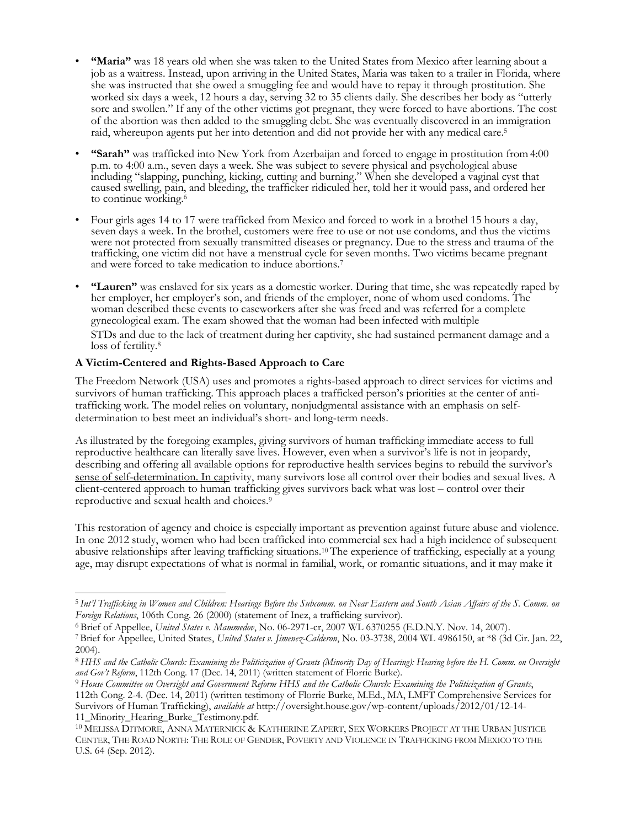- **"Maria"** was 18 years old when she was taken to the United States from Mexico after learning about a job as a waitress. Instead, upon arriving in the United States, Maria was taken to a trailer in Florida, where she was instructed that she owed a smuggling fee and would have to repay it through prostitution. She worked six days a week, 12 hours a day, serving 32 to 35 clients daily. She describes her body as "utterly sore and swollen." If any of the other victims got pregnant, they were forced to have abortions. The cost of the abortion was then added to the smuggling debt. She was eventually discovered in an immigration raid, whereupon agents put her into detention and did not provide her with any medical care.<sup>5</sup>
- **"Sarah"** was trafficked into New York from Azerbaijan and forced to engage in prostitution from 4:00 p.m. to 4:00 a.m., seven days a week. She was subject to severe physical and psychological abuse including "slapping, punching, kicking, cutting and burning." When she developed a vaginal cyst that caused swelling, pain, and bleeding, the trafficker ridiculed her, told her it would pass, and ordered her to continue working.<sup>6</sup>
- Four girls ages 14 to 17 were trafficked from Mexico and forced to work in a brothel 15 hours a day, seven days a week. In the brothel, customers were free to use or not use condoms, and thus the victims were not protected from sexually transmitted diseases or pregnancy. Due to the stress and trauma of the trafficking, one victim did not have a menstrual cycle for seven months. Two victims became pregnant and were forced to take medication to induce abortions.<sup>7</sup>
- **"Lauren"** was enslaved for six years as a domestic worker. During that time, she was repeatedly raped by her employer, her employer's son, and friends of the employer, none of whom used condoms. The woman described these events to caseworkers after she was freed and was referred for a complete gynecological exam. The exam showed that the woman had been infected with multiple STDs and due to the lack of treatment during her captivity, she had sustained permanent damage and a loss of fertility.<sup>8</sup>

### **A Victim-Centered and Rights-Based Approach to Care**

The Freedom Network (USA) uses and promotes a rights-based approach to direct services for victims and survivors of human trafficking. This approach places a trafficked person's priorities at the center of antitrafficking work. The model relies on voluntary, nonjudgmental assistance with an emphasis on selfdetermination to best meet an individual's short- and long-term needs.

As illustrated by the foregoing examples, giving survivors of human trafficking immediate access to full reproductive healthcare can literally save lives. However, even when a survivor's life is not in jeopardy, describing and offering all available options for reproductive health services begins to rebuild the survivor's sense of self-determination. In captivity, many survivors lose all control over their bodies and sexual lives. A client-centered approach to human trafficking gives survivors back what was lost – control over their reproductive and sexual health and choices.<sup>9</sup>

This restoration of agency and choice is especially important as prevention against future abuse and violence. In one 2012 study, women who had been trafficked into commercial sex had a high incidence of subsequent abusive relationships after leaving trafficking situations.10 The experience of trafficking, especially at a young age, may disrupt expectations of what is normal in familial, work, or romantic situations, and it may make it

<sup>5</sup>*Int'l Trafficking in Women and Children: Hearings Before the Subcomm. on Near Eastern and South Asian Affairs of the S. Comm. on Foreign Relations*, 106th Cong. 26 (2000) (statement of Inez, a trafficking survivor).

<sup>6</sup>Brief of Appellee, *United States v. Mammedov*, No. 06-2971-cr, 2007 WL 6370255 (E.D.N.Y. Nov. 14, 2007).

<sup>7</sup>Brief for Appellee, United States, *United States v. Jimenez-Calderon*, No. 03-3738, 2004 WL 4986150, at \*8 (3d Cir. Jan. 22, 2004).

<sup>8</sup>*HHS and the Catholic Church: Examining the Politicization of Grants (Minority Day of Hearing): Hearing before the H. Comm. on Oversight and Gov't Reform*, 112th Cong. 17 (Dec. 14, 2011) (written statement of Florrie Burke).

<sup>9</sup>*House Committee on Oversight and Government Reform HHS and the Catholic Church: Examining the Politicization of Grants*, 112th Cong. 2-4. (Dec. 14, 2011) (written testimony of Florrie Burke, M.Ed., MA, LMFT Comprehensive Services for Survivors of Human Trafficking), *available at* <http://oversight.house.gov/wp-content/uploads/2012/01/12-14-> 11\_Minority\_Hearing\_Burke\_Testimony.pdf.

<sup>10</sup>MELISSA DITMORE, ANNA MATERNICK & KATHERINE ZAPERT, SEX WORKERS PROJECT AT THE URBAN JUSTICE CENTER, THE ROAD NORTH: THE ROLE OF GENDER, POVERTY AND VIOLENCE IN TRAFFICKING FROM MEXICO TO THE U.S. 64 (Sep. 2012).